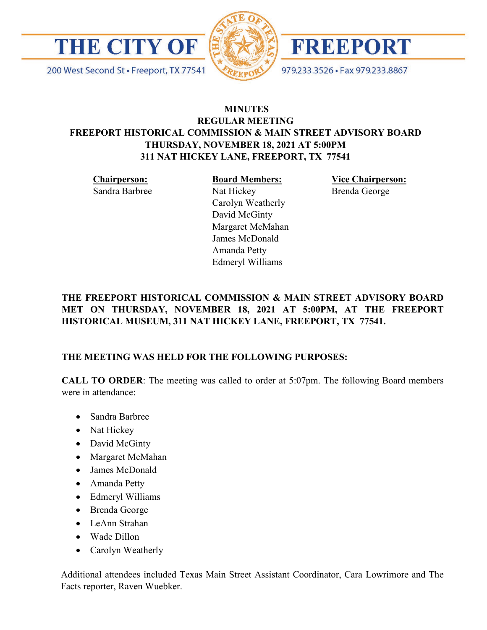

200 West Second St · Freeport, TX 77541





979.233.3526 · Fax 979.233.8867

# **MINUTES REGULAR MEETING FREEPORT HISTORICAL COMMISSION & MAIN STREET ADVISORY BOARD THURSDAY, NOVEMBER 18, 2021 AT 5:00PM 311 NAT HICKEY LANE, FREEPORT, TX 77541**

**Chairperson:** 

Sandra Barbree

**Board Members:** Nat Hickey Carolyn Weatherly David McGinty Margaret McMahan James McDonald Amanda Petty Edmeryl Williams

**Vice Chairperson:**  Brenda George

# **THE FREEPORT HISTORICAL COMMISSION & MAIN STREET ADVISORY BOARD MET ON THURSDAY, NOVEMBER 18, 2021 AT 5:00PM, AT THE FREEPORT HISTORICAL MUSEUM, 311 NAT HICKEY LANE, FREEPORT, TX 77541.**

# **THE MEETING WAS HELD FOR THE FOLLOWING PURPOSES:**

**CALL TO ORDER**: The meeting was called to order at 5:07pm. The following Board members were in attendance:

- Sandra Barbree
- Nat Hickey
- David McGinty
- Margaret McMahan
- James McDonald
- Amanda Petty
- Edmeryl Williams
- Brenda George
- LeAnn Strahan
- Wade Dillon
- Carolyn Weatherly

Additional attendees included Texas Main Street Assistant Coordinator, Cara Lowrimore and The Facts reporter, Raven Wuebker.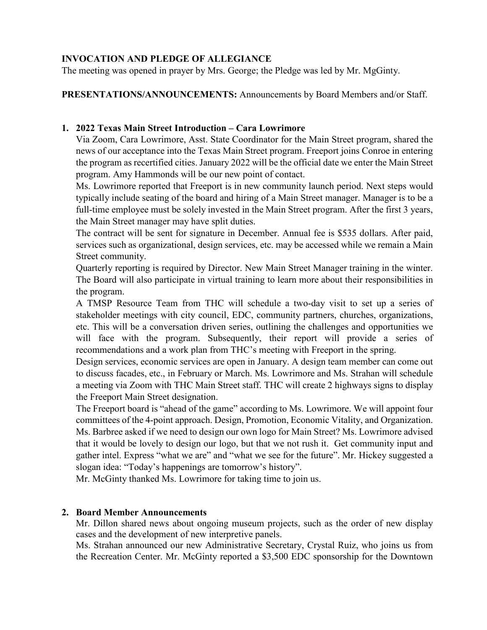## **INVOCATION AND PLEDGE OF ALLEGIANCE**

The meeting was opened in prayer by Mrs. George; the Pledge was led by Mr. MgGinty.

**PRESENTATIONS/ANNOUNCEMENTS:** Announcements by Board Members and/or Staff.

### **1. 2022 Texas Main Street Introduction – Cara Lowrimore**

Via Zoom, Cara Lowrimore, Asst. State Coordinator for the Main Street program, shared the news of our acceptance into the Texas Main Street program. Freeport joins Conroe in entering the program as recertified cities. January 2022 will be the official date we enter the Main Street program. Amy Hammonds will be our new point of contact.

Ms. Lowrimore reported that Freeport is in new community launch period. Next steps would typically include seating of the board and hiring of a Main Street manager. Manager is to be a full-time employee must be solely invested in the Main Street program. After the first 3 years, the Main Street manager may have split duties.

The contract will be sent for signature in December. Annual fee is \$535 dollars. After paid, services such as organizational, design services, etc. may be accessed while we remain a Main Street community.

Quarterly reporting is required by Director. New Main Street Manager training in the winter. The Board will also participate in virtual training to learn more about their responsibilities in the program.

A TMSP Resource Team from THC will schedule a two-day visit to set up a series of stakeholder meetings with city council, EDC, community partners, churches, organizations, etc. This will be a conversation driven series, outlining the challenges and opportunities we will face with the program. Subsequently, their report will provide a series of recommendations and a work plan from THC's meeting with Freeport in the spring.

Design services, economic services are open in January. A design team member can come out to discuss facades, etc., in February or March. Ms. Lowrimore and Ms. Strahan will schedule a meeting via Zoom with THC Main Street staff. THC will create 2 highways signs to display the Freeport Main Street designation.

The Freeport board is "ahead of the game" according to Ms. Lowrimore. We will appoint four committees of the 4-point approach. Design, Promotion, Economic Vitality, and Organization. Ms. Barbree asked if we need to design our own logo for Main Street? Ms. Lowrimore advised that it would be lovely to design our logo, but that we not rush it. Get community input and gather intel. Express "what we are" and "what we see for the future". Mr. Hickey suggested a slogan idea: "Today's happenings are tomorrow's history".

Mr. McGinty thanked Ms. Lowrimore for taking time to join us.

## **2. Board Member Announcements**

Mr. Dillon shared news about ongoing museum projects, such as the order of new display cases and the development of new interpretive panels.

Ms. Strahan announced our new Administrative Secretary, Crystal Ruiz, who joins us from the Recreation Center. Mr. McGinty reported a \$3,500 EDC sponsorship for the Downtown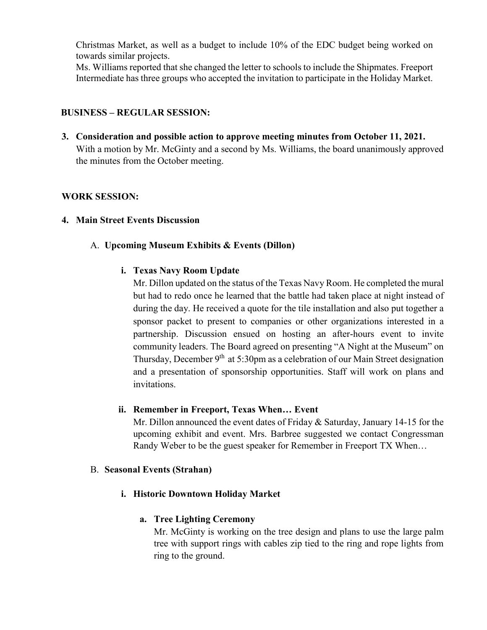Christmas Market, as well as a budget to include 10% of the EDC budget being worked on towards similar projects.

Ms. Williams reported that she changed the letter to schools to include the Shipmates. Freeport Intermediate has three groups who accepted the invitation to participate in the Holiday Market.

## **BUSINESS – REGULAR SESSION:**

**3. Consideration and possible action to approve meeting minutes from October 11, 2021.**  With a motion by Mr. McGinty and a second by Ms. Williams, the board unanimously approved the minutes from the October meeting.

## **WORK SESSION:**

#### **4. Main Street Events Discussion**

## A. **Upcoming Museum Exhibits & Events (Dillon)**

## **i. Texas Navy Room Update**

Mr. Dillon updated on the status of the Texas Navy Room. He completed the mural but had to redo once he learned that the battle had taken place at night instead of during the day. He received a quote for the tile installation and also put together a sponsor packet to present to companies or other organizations interested in a partnership. Discussion ensued on hosting an after-hours event to invite community leaders. The Board agreed on presenting "A Night at the Museum" on Thursday, December  $9<sup>th</sup>$  at 5:30pm as a celebration of our Main Street designation and a presentation of sponsorship opportunities. Staff will work on plans and invitations.

#### **ii. Remember in Freeport, Texas When… Event**

Mr. Dillon announced the event dates of Friday & Saturday, January 14-15 for the upcoming exhibit and event. Mrs. Barbree suggested we contact Congressman Randy Weber to be the guest speaker for Remember in Freeport TX When…

#### B. **Seasonal Events (Strahan)**

## **i. Historic Downtown Holiday Market**

#### **a. Tree Lighting Ceremony**

Mr. McGinty is working on the tree design and plans to use the large palm tree with support rings with cables zip tied to the ring and rope lights from ring to the ground.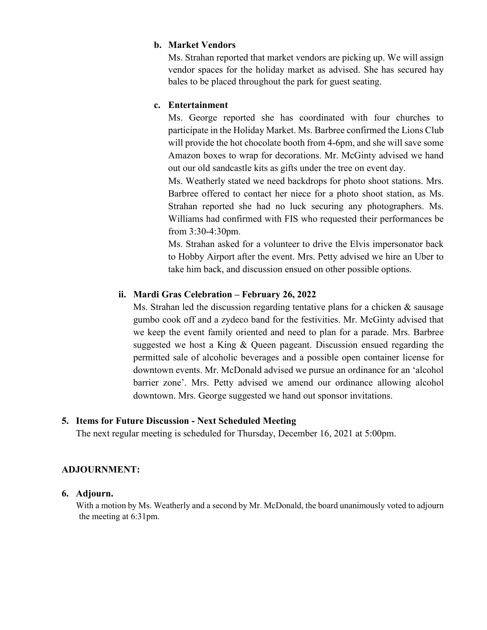#### **b. Market Vendors**

Ms. Strahan reported that market vendors are picking up. We will assign vendor spaces for the holiday market as advised. She has secured hay bales to be placed throughout the park for guest seating.

### **c. Entertainment**

Ms. George reported she has coordinated with four churches to participate in the Holiday Market. Ms. Barbree confirmed the Lions Club will provide the hot chocolate booth from 4-6pm, and she will save some Amazon boxes to wrap for decorations. Mr. McGinty advised we hand out our old sandcastle kits as gifts under the tree on event day.

Ms. Weatherly stated we need backdrops for photo shoot stations. Mrs. Barbree offered to contact her niece for a photo shoot station, as Ms. Strahan reported she had no luck securing any photographers. Ms. Williams had confirmed with FIS who requested their performances be from 3:30-4:30pm.

Ms. Strahan asked for a volunteer to drive the Elvis impersonator back to Hobby Airport after the event. Mrs. Petty advised we hire an Uber to take him back, and discussion ensued on other possible options.

#### **ii. Mardi Gras Celebration – February 26, 2022**

Ms. Strahan led the discussion regarding tentative plans for a chicken  $\&$  sausage gumbo cook off and a zydeco band for the festivities. Mr. McGinty advised that we keep the event family oriented and need to plan for a parade. Mrs. Barbree suggested we host a King & Queen pageant. Discussion ensued regarding the permitted sale of alcoholic beverages and a possible open container license for downtown events. Mr. McDonald advised we pursue an ordinance for an 'alcohol barrier zone'. Mrs. Petty advised we amend our ordinance allowing alcohol downtown. Mrs. George suggested we hand out sponsor invitations.

#### **5. Items for Future Discussion - Next Scheduled Meeting**

The next regular meeting is scheduled for Thursday, December 16, 2021 at 5:00pm.

#### **ADJOURNMENT:**

#### **6. Adjourn.**

With a motion by Ms. Weatherly and a second by Mr. McDonald, the board unanimously voted to adjourn the meeting at 6:31pm.